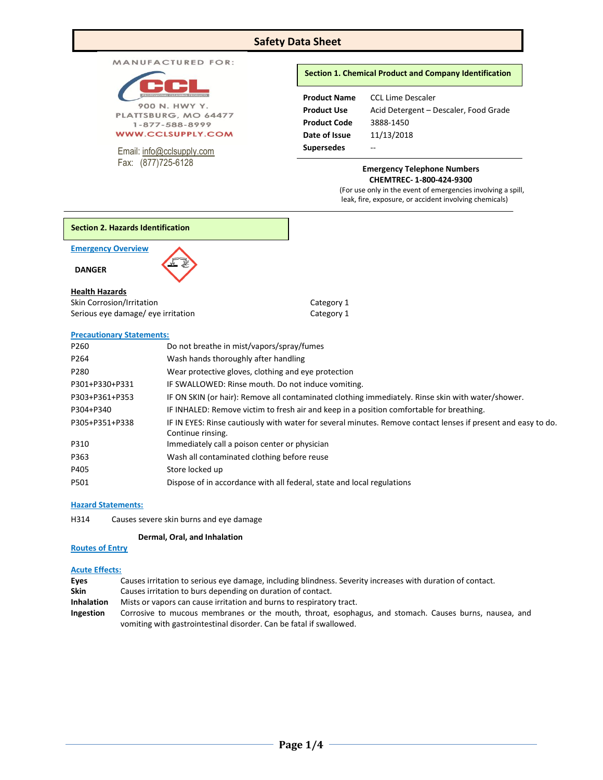# **Safety Data Sheet**

| <b>MANUFACTURED FOR:</b> |  |  |  |  |
|--------------------------|--|--|--|--|
|--------------------------|--|--|--|--|

| <b>PROFESSIONAL CLEANING PRODUCTS</b> |
|---------------------------------------|
|                                       |
| 900 N. HWY Y.                         |
| PLATTSBURG, MO 64477                  |
| $-877 - 588 - 8999$                   |

**WWW.CCLSUPPLY.COM** 

Email: [info@cclsupply.com](mailto:info@cclsupply.com) Fax: (877)725-6128

# **Section 1. Chemical Product and Company Identification**

| <b>Product Name</b> | <b>CCL Lime Descaler</b>              |
|---------------------|---------------------------------------|
| <b>Product Use</b>  | Acid Detergent - Descaler, Food Grade |
| <b>Product Code</b> | 3888-1450                             |
| Date of Issue       | 11/13/2018                            |
| <b>Supersedes</b>   | --                                    |

### **Emergency Telephone Numbers CHEMTREC- 1-800-424-9300**

(For use only in the event of emergencies involving a spill, leak, fire, exposure, or accident involving chemicals)



**Emergency Overview** 

 **DANGER** 

# **Health Hazards**

| Skin Corrosion/Irritation          |  |  |
|------------------------------------|--|--|
| Serious eye damage/ eye irritation |  |  |

#### **Precautionary Statements:**

| Do not breathe in mist/vapors/spray/fumes                                                                                          |
|------------------------------------------------------------------------------------------------------------------------------------|
| Wash hands thoroughly after handling                                                                                               |
| Wear protective gloves, clothing and eye protection                                                                                |
| IF SWALLOWED: Rinse mouth. Do not induce vomiting.                                                                                 |
| IF ON SKIN (or hair): Remove all contaminated clothing immediately. Rinse skin with water/shower.                                  |
| IF INHALED: Remove victim to fresh air and keep in a position comfortable for breathing.                                           |
| IF IN EYES: Rinse cautiously with water for several minutes. Remove contact lenses if present and easy to do.<br>Continue rinsing. |
| Immediately call a poison center or physician                                                                                      |
| Wash all contaminated clothing before reuse                                                                                        |
| Store locked up                                                                                                                    |
| Dispose of in accordance with all federal, state and local regulations                                                             |
|                                                                                                                                    |

Category 1 Category 1

# **Hazard Statements:**

H314 Causes severe skin burns and eye damage

# **Dermal, Oral, and Inhalation**

# **Routes of Entry**

# **Acute Effects:**

| Eyes | Causes irritation to serious eye damage, including blindness. Severity increases with duration of contact. |  |  |  |
|------|------------------------------------------------------------------------------------------------------------|--|--|--|
|------|------------------------------------------------------------------------------------------------------------|--|--|--|

- **Skin** Causes irritation to burs depending on duration of contact.
- **Inhalation** Mists or vapors can cause irritation and burns to respiratory tract.
- **Ingestion** Corrosive to mucous membranes or the mouth, throat, esophagus, and stomach. Causes burns, nausea, and vomiting with gastrointestinal disorder. Can be fatal if swallowed.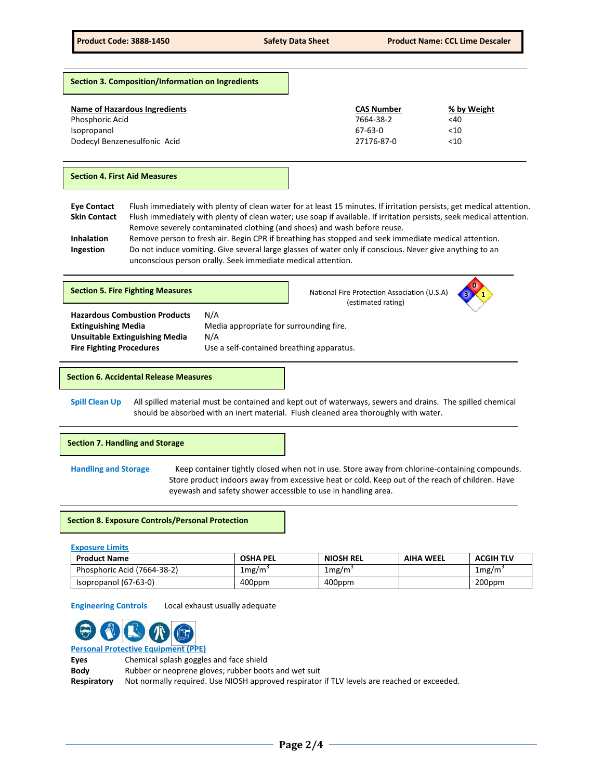**Section 3. Composition/Information on Ingredients**

| Name of Hazardous Ingredients | <b>CAS Number</b> | % by Weight |
|-------------------------------|-------------------|-------------|
| Phosphoric Acid               | 7664-38-2         | <40         |
| Isopropanol                   | 67-63-0           | <10         |
| Dodecyl Benzenesulfonic Acid  | 27176-87-0        | <10         |

#### **Section 4. First Aid Measures**

- **Eye Contact** Flush immediately with plenty of clean water for at least 15 minutes. If irritation persists, get medical attention. Skin Contact Flush immediately with plenty of clean water; use soap if available. If irritation persists, seek medical attention. Remove severely contaminated clothing (and shoes) and wash before reuse.
- **Inhalation** Remove person to fresh air. Begin CPR if breathing has stopped and seek immediate medical attention. **Ingestion** Do not induce vomiting. Give several large glasses of water only if conscious. Never give anything to an unconscious person orally. Seek immediate medical attention.

| N/A<br><b>Hazardous Combustion Products</b><br>Media appropriate for surrounding fire.<br><b>Extinguishing Media</b><br><b>Unsuitable Extinguishing Media</b><br>N/A<br><b>Fire Fighting Procedures</b><br>Use a self-contained breathing apparatus. | <b>Section 5. Fire Fighting Measures</b> |  | National Fire Protection Association (U.S.A)<br>(estimated rating) | 0 |
|------------------------------------------------------------------------------------------------------------------------------------------------------------------------------------------------------------------------------------------------------|------------------------------------------|--|--------------------------------------------------------------------|---|
|                                                                                                                                                                                                                                                      |                                          |  |                                                                    |   |

#### **Section 6. Accidental Release Measures**

**Spill Clean Up** All spilled material must be contained and kept out of waterways, sewers and drains. The spilled chemical should be absorbed with an inert material. Flush cleaned area thoroughly with water.

**Section 7. Handling and Storage** 

**Handling and Storage** Keep container tightly closed when not in use. Store away from chlorine-containing compounds. Store product indoors away from excessive heat or cold. Keep out of the reach of children. Have eyewash and safety shower accessible to use in handling area.

## **Section 8. Exposure Controls/Personal Protection**

### **Exposure Limits**

| <b>Product Name</b>         | <b>OSHA PEL</b> | <b>NIOSH REL</b> | <b>AIHA WEEL</b> | <b>ACGIH TLV</b> |
|-----------------------------|-----------------|------------------|------------------|------------------|
| Phosphoric Acid (7664-38-2) | 1mg/m`          | 1mg/m            |                  | 1mg/m            |
| Isopropanol (67-63-0)       | 400ppm          | 400ppm           |                  | 200ppm           |

**Engineering Controls** Local exhaust usually adequate



**Personal Protective Equipment (PPE)**

| Eves        | Chemical splash goggles and face shield                                                     |
|-------------|---------------------------------------------------------------------------------------------|
| Body        | Rubber or neoprene gloves; rubber boots and wet suit                                        |
| Respiratory | Not normally required. Use NIOSH approved respirator if TLV levels are reached or exceeded. |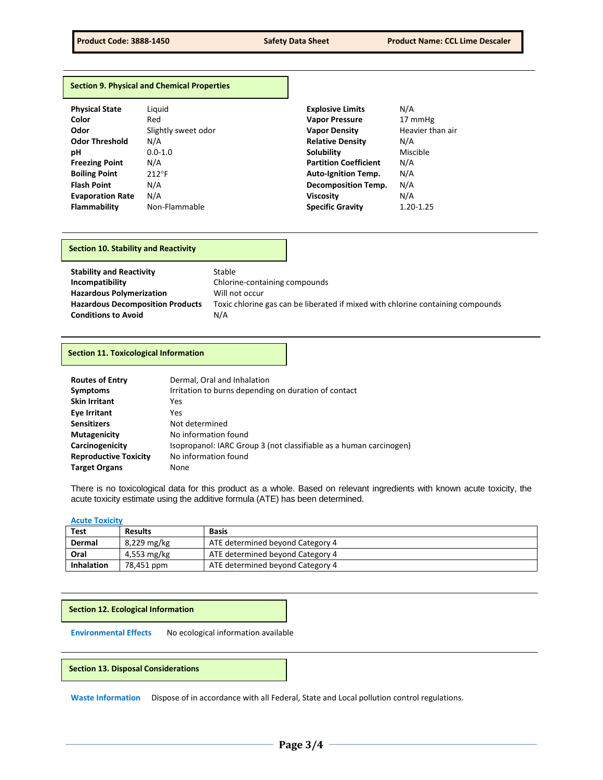#### **Section 9. Physical and Chemical Properties**

| <b>Physical State</b>   | Liguid              | <b>Explosive Limits</b>      | N/A              |
|-------------------------|---------------------|------------------------------|------------------|
| Color                   | Red                 | <b>Vapor Pressure</b>        | 17 mmHg          |
| Odor                    | Slightly sweet odor | <b>Vapor Density</b>         | Heavier than air |
| <b>Odor Threshold</b>   | N/A                 | <b>Relative Density</b>      | N/A              |
| рH                      | $0.0 - 1.0$         | <b>Solubility</b>            | Miscible         |
| <b>Freezing Point</b>   | N/A                 | <b>Partition Coefficient</b> | N/A              |
| <b>Boiling Point</b>    | $212^{\circ}F$      | <b>Auto-Ignition Temp.</b>   | N/A              |
| <b>Flash Point</b>      | N/A                 | <b>Decomposition Temp.</b>   | N/A              |
| <b>Evaporation Rate</b> | N/A                 | <b>Viscosity</b>             | N/A              |
| <b>Flammability</b>     | Non-Flammable       | <b>Specific Gravity</b>      | 1.20-1.25        |

## **Section 10. Stability and Reactivity**

| <b>Stability and Reactivity</b>         | Stable                                                                          |
|-----------------------------------------|---------------------------------------------------------------------------------|
| Incompatibility                         | Chlorine-containing compounds                                                   |
| <b>Hazardous Polymerization</b>         | Will not occur                                                                  |
| <b>Hazardous Decomposition Products</b> | Toxic chlorine gas can be liberated if mixed with chlorine containing compounds |
| <b>Conditions to Avoid</b>              | N/A                                                                             |

#### **Section 11. Toxicological Information**

| <b>Routes of Entry</b>       | Dermal, Oral and Inhalation                                        |  |  |  |
|------------------------------|--------------------------------------------------------------------|--|--|--|
| <b>Symptoms</b>              | Irritation to burns depending on duration of contact               |  |  |  |
| <b>Skin Irritant</b>         | Yes                                                                |  |  |  |
| Eye Irritant                 | Yes                                                                |  |  |  |
| <b>Sensitizers</b>           | Not determined                                                     |  |  |  |
| <b>Mutagenicity</b>          | No information found                                               |  |  |  |
| Carcinogenicity              | Isopropanol: IARC Group 3 (not classifiable as a human carcinogen) |  |  |  |
| <b>Reproductive Toxicity</b> | No information found                                               |  |  |  |
| <b>Target Organs</b>         | None                                                               |  |  |  |

There is no toxicological data for this product as a whole. Based on relevant ingredients with known acute toxicity, the acute toxicity estimate using the additive formula (ATE) has been determined.

## **Acute Toxicity**

| <b>Test</b>       | <b>Results</b> | <b>Basis</b>                     |
|-------------------|----------------|----------------------------------|
| Dermal            | 8,229 mg/kg    | ATE determined beyond Category 4 |
| Oral              | 4,553 mg/kg    | ATE determined beyond Category 4 |
| <b>Inhalation</b> | 78,451 ppm     | ATE determined beyond Category 4 |

## **Section 12. Ecological Information**

**Environmental Effects** No ecological information available

## **Section 13. Disposal Considerations**

**Waste Information** Dispose of in accordance with all Federal, State and Local pollution control regulations.